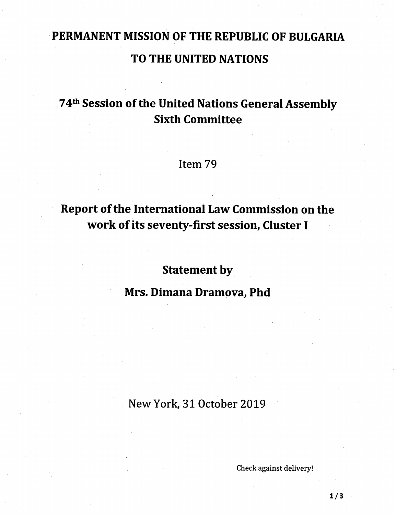# PERMANENT MISSION OF THE REPUBLIC OF BULGARIA TO THE UNITED NATIONS

# 74<sup>th</sup> Session of the United Nations General Assembly Sixth Committee

#### Item 79

# Report of the International Law Commission on the work of its seventy-first session, Cluster I

## Statement by

### Mrs. Dimana Dramova, Phd

#### New York, 31 October 2019

Check against delivery!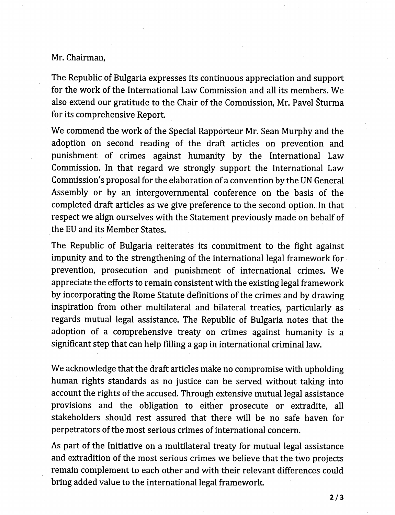#### Mr. Chairman,

The Republic of Bulgaria expresses its continuous appreciation and support for the work of the International Law Commission and all its members. We also extend our gratitude to the Chair of the Commission, Mr. Pavel Sturma for its comprehensive Report.

We commend the work of the Special Rapporteur Mr. Sean Murphy and the adoption on second reading of the draft articles on prevention and punishment of crimes against humanity by the International Law Commission. In that regard we strongly support the International Law Commission's proposal for the elaboration of a convention by the UN General Assembly or by an intergovernmental conference on the basis of the completed draft articles as we give preference to the second option. In that respect we align ourselves with the Statement previously made on behalf of the EU and its Member States.

The Republic of Bulgaria reiterates its commitment to the fight against impunity and to the strengthening of the international legal framework for prevention, prosecution and punishment of international crimes. We appreciate the efforts to remain consistent with the existing legal framework by incorporating the Rome Statute definitions of the crimes and by drawing inspiration from other multilateral and bilateral treaties, particularly as regards mutual legal assistance. The Republic of Bulgaria notes that the adoption of a comprehensive treaty on crimes against humanity is a significant step that can help filling a gap in international criminal law.

We acknowledge that the draft articles make no compromise with upholding human rights standards as no justice can be served without taking into account the rights of the accused. Through extensive mutual legal assistance provisions and the obligation to either prosecute or extradite, all stakeholders should rest assured that there will be no safe haven for perpetrators of the most serious crimes of international concern.

As part of the Initiative on a multilateral treaty for mutual legal assistance and extradition of the most serious crimes we believe that the two projects remain complement to each other and with their relevant differences could bring added value to the international legal framework.